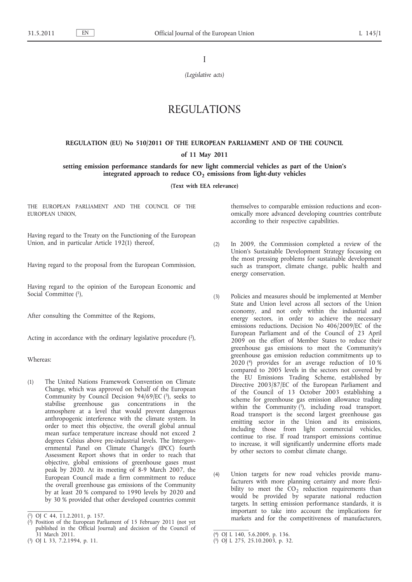I

*(Legislative acts)*

# REGULATIONS

## **REGULATION (EU) No 510/2011 OF THE EUROPEAN PARLIAMENT AND OF THE COUNCIL**

## **of 11 May 2011**

**setting emission performance standards for new light commercial vehicles as part of the Union's**  integrated approach to reduce CO<sub>2</sub> emissions from light-duty vehicles

**(Text with EEA relevance)**

THE EUROPEAN PARLIAMENT AND THE COUNCIL OF THE EUROPEAN UNION,

Having regard to the Treaty on the Functioning of the European Union, and in particular Article 192(1) thereof,

Having regard to the proposal from the European Commission,

Having regard to the opinion of the European Economic and Social Committee (1),

After consulting the Committee of the Regions,

Acting in accordance with the ordinary legislative procedure  $(2)$ ,

Whereas:

(1) The United Nations Framework Convention on Climate Change, which was approved on behalf of the European Community by Council Decision 94/69/EC  $(3)$ , seeks to stabilise greenhouse gas concentrations in the atmosphere at a level that would prevent dangerous anthropogenic interference with the climate system. In order to meet this objective, the overall global annual mean surface temperature increase should not exceed 2 degrees Celsius above pre-industrial levels. The Intergovernmental Panel on Climate Change's (IPCC) fourth Assessment Report shows that in order to reach that objective, global emissions of greenhouse gases must peak by 2020. At its meeting of 8-9 March 2007, the European Council made a firm commitment to reduce the overall greenhouse gas emissions of the Community by at least 20 % compared to 1990 levels by 2020 and by 30 % provided that other developed countries commit themselves to comparable emission reductions and economically more advanced developing countries contribute according to their respective capabilities.

- (2) In 2009, the Commission completed a review of the Union's Sustainable Development Strategy focussing on the most pressing problems for sustainable development such as transport, climate change, public health and energy conservation.
- (3) Policies and measures should be implemented at Member State and Union level across all sectors of the Union economy, and not only within the industrial and energy sectors, in order to achieve the necessary emissions reductions. Decision No 406/2009/EC of the European Parliament and of the Council of 23 April 2009 on the effort of Member States to reduce their greenhouse gas emissions to meet the Community's greenhouse gas emission reduction commitments up to 2020 (4) provides for an average reduction of 10 % compared to 2005 levels in the sectors not covered by the EU Emissions Trading Scheme, established by Directive 2003/87/EC of the European Parliament and of the Council of 13 October 2003 establishing a scheme for greenhouse gas emission allowance trading within the Community  $(5)$ , including road transport. Road transport is the second largest greenhouse gas emitting sector in the Union and its emissions, including those from light commercial vehicles, continue to rise. If road transport emissions continue to increase, it will significantly undermine efforts made by other sectors to combat climate change.
- (4) Union targets for new road vehicles provide manufacturers with more planning certainty and more flexibility to meet the  $CO<sub>2</sub>$  reduction requirements than would be provided by separate national reduction targets. In setting emission performance standards, it is important to take into account the implications for markets and for the competitiveness of manufacturers,

<sup>(</sup> 1) OJ C 44, 11.2.2011, p. 157.

<sup>(</sup> 2) Position of the European Parliament of 15 February 2011 (not yet published in the Official Journal) and decision of the Council of 31 March 2011.

<sup>(</sup> 3) OJ L 33, 7.2.1994, p. 11.

<sup>(</sup> 4) OJ L 140, 5.6.2009, p. 136.

<sup>(</sup> 5) OJ L 275, 25.10.2003, p. 32.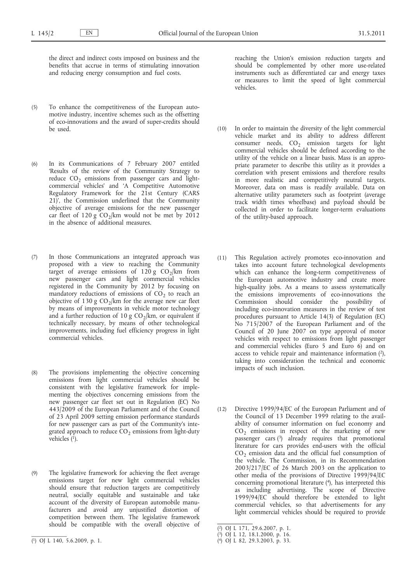the direct and indirect costs imposed on business and the benefits that accrue in terms of stimulating innovation and reducing energy consumption and fuel costs.

- (5) To enhance the competitiveness of the European automotive industry, incentive schemes such as the offsetting of eco-innovations and the award of super-credits should be used.
- (6) In its Communications of 7 February 2007 entitled 'Results of the review of the Community Strategy to reduce  $CO<sub>2</sub>$  emissions from passenger cars and lightcommercial vehicles' and 'A Competitive Automotive Regulatory Framework for the 21st Century (CARS 21)', the Commission underlined that the Community objective of average emissions for the new passenger car fleet of 120 g  $CO_2/km$  would not be met by 2012 in the absence of additional measures.
- (7) In those Communications an integrated approach was proposed with a view to reaching the Community target of average emissions of  $120 g$  CO<sub>2</sub>/km from new passenger cars and light commercial vehicles registered in the Community by 2012 by focusing on mandatory reductions of emissions of  $CO<sub>2</sub>$  to reach an objective of 130 g  $CO_2/km$  for the average new car fleet by means of improvements in vehicle motor technology and a further reduction of 10 g  $CO<sub>2</sub>/km$ , or equivalent if technically necessary, by means of other technological improvements, including fuel efficiency progress in light commercial vehicles.
- (8) The provisions implementing the objective concerning emissions from light commercial vehicles should be consistent with the legislative framework for implementing the objectives concerning emissions from the new passenger car fleet set out in Regulation (EC) No 443/2009 of the European Parliament and of the Council of 23 April 2009 setting emission performance standards for new passenger cars as part of the Community's integrated approach to reduce  $CO<sub>2</sub>$  emissions from light-duty vehicles  $(1)$ .
- (9) The legislative framework for achieving the fleet average emissions target for new light commercial vehicles should ensure that reduction targets are competitively neutral, socially equitable and sustainable and take account of the diversity of European automobile manufacturers and avoid any unjustified distortion of competition between them. The legislative framework should be compatible with the overall objective of

reaching the Union's emission reduction targets and should be complemented by other more use-related instruments such as differentiated car and energy taxes or measures to limit the speed of light commercial vehicles.

- (10) In order to maintain the diversity of the light commercial vehicle market and its ability to address different consumer needs,  $CO<sub>2</sub>$  emission targets for light commercial vehicles should be defined according to the utility of the vehicle on a linear basis. Mass is an appropriate parameter to describe this utility as it provides a correlation with present emissions and therefore results in more realistic and competitively neutral targets. Moreover, data on mass is readily available. Data on alternative utility parameters such as footprint (average track width times wheelbase) and payload should be collected in order to facilitate longer-term evaluations of the utility-based approach.
- (11) This Regulation actively promotes eco-innovation and takes into account future technological developments which can enhance the long-term competitiveness of the European automotive industry and create more high-quality jobs. As a means to assess systematically the emissions improvements of eco-innovations the Commission should consider the possibility of including eco-innovation measures in the review of test procedures pursuant to Article 14(3) of Regulation (EC) No 715/2007 of the European Parliament and of the Council of 20 June 2007 on type approval of motor vehicles with respect to emissions from light passenger and commercial vehicles (Euro 5 and Euro 6) and on access to vehicle repair and maintenance information  $(2)$ , taking into consideration the technical and economic impacts of such inclusion.
- (12) Directive 1999/94/EC of the European Parliament and of the Council of 13 December 1999 relating to the availability of consumer information on fuel economy and  $CO<sub>2</sub>$  emissions in respect of the marketing of new passenger cars  $(3)$  already requires that promotional literature for cars provides end-users with the official  $CO<sub>2</sub>$  emission data and the official fuel consumption of the vehicle. The Commission, in its Recommendation 2003/217/EC of 26 March 2003 on the application to other media of the provisions of Directive 1999/94/EC concerning promotional literature (4), has interpreted this as including advertising. The scope of Directive 1999/94/EC should therefore be extended to light commercial vehicles, so that advertisements for any light commercial vehicles should be required to provide

<sup>(</sup> 1) OJ L 140, 5.6.2009, p. 1.

<sup>(</sup> 2) OJ L 171, 29.6.2007, p. 1.

<sup>(</sup> 3) OJ L 12, 18.1.2000, p. 16.

<sup>(</sup> 4) OJ L 82, 29.3.2003, p. 33.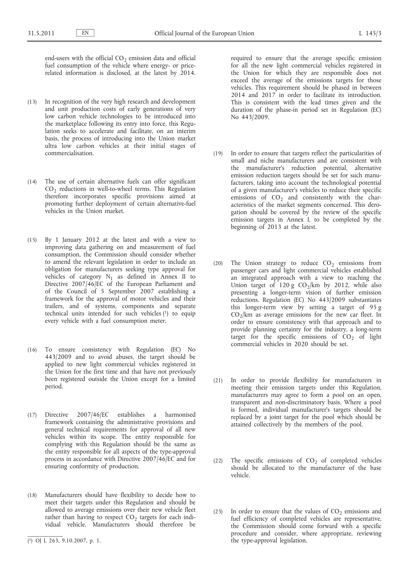end-users with the official  $CO<sub>2</sub>$  emission data and official fuel consumption of the vehicle where energy- or pricerelated information is disclosed, at the latest by 2014.

- (13) In recognition of the very high research and development and unit production costs of early generations of very low carbon vehicle technologies to be introduced into the marketplace following its entry into force, this Regulation seeks to accelerate and facilitate, on an interim basis, the process of introducing into the Union market ultra low carbon vehicles at their initial stages of commercialisation.
- (14) The use of certain alternative fuels can offer significant  $CO<sub>2</sub>$  reductions in well-to-wheel terms. This Regulation therefore incorporates specific provisions aimed at promoting further deployment of certain alternative-fuel vehicles in the Union market.
- (15) By 1 January 2012 at the latest and with a view to improving data gathering on and measurement of fuel consumption, the Commission should consider whether to amend the relevant legislation in order to include an obligation for manufacturers seeking type approval for vehicles of category  $N_1$  as defined in Annex II to Directive 2007/46/EC of the European Parliament and of the Council of 5 September 2007 establishing a framework for the approval of motor vehicles and their trailers, and of systems, components and separate technical units intended for such vehicles (1) to equip every vehicle with a fuel consumption meter.
- (16) To ensure consistency with Regulation (EC) No 443/2009 and to avoid abuses, the target should be applied to new light commercial vehicles registered in the Union for the first time and that have not previously been registered outside the Union except for a limited period.
- (17) Directive 2007/46/EC establishes a harmonised framework containing the administrative provisions and general technical requirements for approval of all new vehicles within its scope. The entity responsible for complying with this Regulation should be the same as the entity responsible for all aspects of the type-approval process in accordance with Directive 2007/46/EC and for ensuring conformity of production.
- (18) Manufacturers should have flexibility to decide how to meet their targets under this Regulation and should be allowed to average emissions over their new vehicle fleet rather than having to respect  $CO<sub>2</sub>$  targets for each individual vehicle. Manufacturers should therefore be

required to ensure that the average specific emission for all the new light commercial vehicles registered in the Union for which they are responsible does not exceed the average of the emissions targets for those vehicles. This requirement should be phased in between 2014 and 2017 in order to facilitate its introduction. This is consistent with the lead times given and the duration of the phase-in period set in Regulation (EC) No 443/2009.

- (19) In order to ensure that targets reflect the particularities of small and niche manufacturers and are consistent with the manufacturer's reduction potential, alternative emission reduction targets should be set for such manufacturers, taking into account the technological potential of a given manufacturer's vehicles to reduce their specific emissions of  $CO<sub>2</sub>$  and consistently with the characteristics of the market segments concerned. This derogation should be covered by the review of the specific emission targets in Annex I, to be completed by the beginning of 2013 at the latest.
- (20) The Union strategy to reduce  $CO<sub>2</sub>$  emissions from passenger cars and light commercial vehicles established an integrated approach with a view to reaching the Union target of  $120 g$  CO<sub>2</sub>/km by 2012, while also presenting a longer-term vision of further emission reductions. Regulation (EC) No 443/2009 substantiates this longer-term view by setting a target of 95 g  $CO<sub>2</sub>/km$  as average emissions for the new car fleet. In order to ensure consistency with that approach and to provide planning certainty for the industry, a long-term target for the specific emissions of  $CO<sub>2</sub>$  of light commercial vehicles in 2020 should be set.
- (21) In order to provide flexibility for manufacturers in meeting their emission targets under this Regulation, manufacturers may agree to form a pool on an open, transparent and non-discriminatory basis. Where a pool is formed, individual manufacturer's targets should be replaced by a joint target for the pool which should be attained collectively by the members of the pool.
- (22) The specific emissions of  $CO<sub>2</sub>$  of completed vehicles should be allocated to the manufacturer of the base vehicle.
- (23) In order to ensure that the values of  $CO<sub>2</sub>$  emissions and fuel efficiency of completed vehicles are representative, the Commission should come forward with a specific procedure and consider, where appropriate, reviewing the type-approval legislation.

<sup>(</sup> 1) OJ L 263, 9.10.2007, p. 1.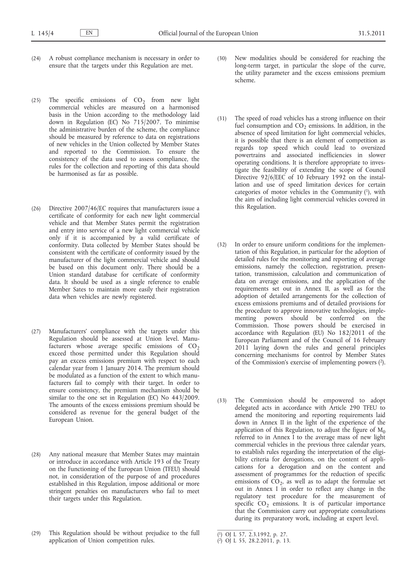- (24) A robust compliance mechanism is necessary in order to ensure that the targets under this Regulation are met.
- (25) The specific emissions of  $CO<sub>2</sub>$  from new light commercial vehicles are measured on a harmonised basis in the Union according to the methodology laid down in Regulation (EC) No 715/2007. To minimise the administrative burden of the scheme, the compliance should be measured by reference to data on registrations of new vehicles in the Union collected by Member States and reported to the Commission. To ensure the consistency of the data used to assess compliance, the rules for the collection and reporting of this data should be harmonised as far as possible.
- (26) Directive 2007/46/EC requires that manufacturers issue a certificate of conformity for each new light commercial vehicle and that Member States permit the registration and entry into service of a new light commercial vehicle only if it is accompanied by a valid certificate of conformity. Data collected by Member States should be consistent with the certificate of conformity issued by the manufacturer of the light commercial vehicle and should be based on this document only. There should be a Union standard database for certificate of conformity data. It should be used as a single reference to enable Member Sates to maintain more easily their registration data when vehicles are newly registered.
- (27) Manufacturers' compliance with the targets under this Regulation should be assessed at Union level. Manufacturers whose average specific emissions of  $CO<sub>2</sub>$ exceed those permitted under this Regulation should pay an excess emissions premium with respect to each calendar year from 1 January 2014. The premium should be modulated as a function of the extent to which manufacturers fail to comply with their target. In order to ensure consistency, the premium mechanism should be similar to the one set in Regulation (EC) No 443/2009. The amounts of the excess emissions premium should be considered as revenue for the general budget of the European Union.
- (28) Any national measure that Member States may maintain or introduce in accordance with Article 193 of the Treaty on the Functioning of the European Union (TFEU) should not, in consideration of the purpose of and procedures established in this Regulation, impose additional or more stringent penalties on manufacturers who fail to meet their targets under this Regulation.
- (29) This Regulation should be without prejudice to the full application of Union competition rules.
- (30) New modalities should be considered for reaching the long-term target, in particular the slope of the curve, the utility parameter and the excess emissions premium scheme.
- (31) The speed of road vehicles has a strong influence on their fuel consumption and  $CO<sub>2</sub>$  emissions. In addition, in the absence of speed limitation for light commercial vehicles, it is possible that there is an element of competition as regards top speed which could lead to oversized powertrains and associated inefficiencies in slower operating conditions. It is therefore appropriate to investigate the feasibility of extending the scope of Council Directive 92/6/EEC of 10 February 1992 on the installation and use of speed limitation devices for certain categories of motor vehicles in the Community  $(1)$ , with the aim of including light commercial vehicles covered in this Regulation.
- (32) In order to ensure uniform conditions for the implementation of this Regulation, in particular for the adoption of detailed rules for the monitoring and reporting of average emissions, namely the collection, registration, presentation, transmission, calculation and communication of data on average emissions, and the application of the requirements set out in Annex II, as well as for the adoption of detailed arrangements for the collection of excess emissions premiums and of detailed provisions for the procedure to approve innovative technologies, implementing powers should be conferred on the Commission. Those powers should be exercised in accordance with Regulation (EU) No 182/2011 of the European Parliament and of the Council of 16 February 2011 laying down the rules and general principles concerning mechanisms for control by Member States of the Commission's exercise of implementing powers (2).
- (33) The Commission should be empowered to adopt delegated acts in accordance with Article 290 TFEU to amend the monitoring and reporting requirements laid down in Annex II in the light of the experience of the application of this Regulation, to adjust the figure of  $M_0$ referred to in Annex I to the average mass of new light commercial vehicles in the previous three calendar years, to establish rules regarding the interpretation of the eligibility criteria for derogations, on the content of applications for a derogation and on the content and assessment of programmes for the reduction of specific emissions of  $CO<sub>2</sub>$ , as well as to adapt the formulae set out in Annex I in order to reflect any change in the regulatory test procedure for the measurement of specific  $CO<sub>2</sub>$  emissions. It is of particular importance that the Commission carry out appropriate consultations during its preparatory work, including at expert level.

<sup>(</sup> 1) OJ L 57, 2.3.1992, p. 27.

<sup>(</sup> 2) OJ L 55, 28.2.2011, p. 13.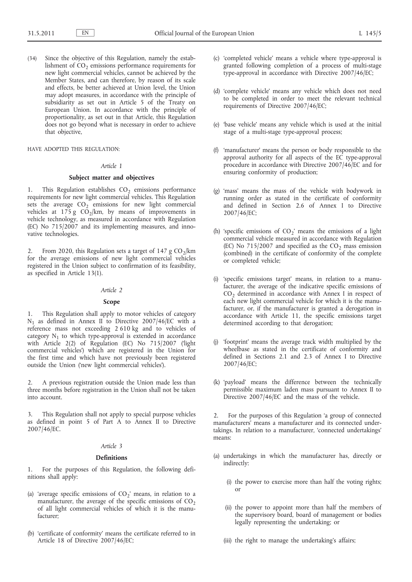(34) Since the objective of this Regulation, namely the establishment of  $CO<sub>2</sub>$  emissions performance requirements for new light commercial vehicles, cannot be achieved by the Member States, and can therefore, by reason of its scale and effects, be better achieved at Union level, the Union may adopt measures, in accordance with the principle of subsidiarity as set out in Article 5 of the Treaty on European Union. In accordance with the principle of proportionality, as set out in that Article, this Regulation does not go beyond what is necessary in order to achieve that objective,

HAVE ADOPTED THIS REGULATION:

#### *Article 1*

## **Subject matter and objectives**

This Regulation establishes  $CO<sub>2</sub>$  emissions performance requirements for new light commercial vehicles. This Regulation sets the average  $CO<sub>2</sub>$  emissions for new light commercial vehicles at 175 g  $C\overline{O}_2$ /km, by means of improvements in vehicle technology, as measured in accordance with Regulation (EC) No 715/2007 and its implementing measures, and innovative technologies.

2. From 2020, this Regulation sets a target of 147 g  $CO_2/km$ for the average emissions of new light commercial vehicles registered in the Union subject to confirmation of its feasibility, as specified in Article 13(1).

#### *Article 2*

#### **Scope**

1. This Regulation shall apply to motor vehicles of category  $N_1$  as defined in Annex II to Directive 2007/46/EC with a reference mass not exceeding 2 610 kg and to vehicles of category  $N_1$  to which type-approval is extended in accordance with Article 2(2) of Regulation (EC) No 715/2007 ('light commercial vehicles') which are registered in the Union for the first time and which have not previously been registered outside the Union ('new light commercial vehicles').

2. A previous registration outside the Union made less than three months before registration in the Union shall not be taken into account.

3. This Regulation shall not apply to special purpose vehicles as defined in point 5 of Part A to Annex II to Directive 2007/46/EC.

#### *Article 3*

#### **Definitions**

1. For the purposes of this Regulation, the following definitions shall apply:

- (a) 'average specific emissions of  $CO<sub>2</sub>$ ' means, in relation to a manufacturer, the average of the specific emissions of  $CO<sub>2</sub>$ of all light commercial vehicles of which it is the manufacturer;
- (b) 'certificate of conformity' means the certificate referred to in Article 18 of Directive 2007/46/EC;
- (c) 'completed vehicle' means a vehicle where type-approval is granted following completion of a process of multi-stage type-approval in accordance with Directive 2007/46/EC;
- (d) 'complete vehicle' means any vehicle which does not need to be completed in order to meet the relevant technical requirements of Directive 2007/46/EC;
- (e) 'base vehicle' means any vehicle which is used at the initial stage of a multi-stage type-approval process;
- (f) 'manufacturer' means the person or body responsible to the approval authority for all aspects of the EC type-approval procedure in accordance with Directive 2007/46/EC and for ensuring conformity of production;
- (g) 'mass' means the mass of the vehicle with bodywork in running order as stated in the certificate of conformity and defined in Section 2.6 of Annex I to Directive 2007/46/EC;
- (h) 'specific emissions of  $CO<sub>2</sub>$ ' means the emissions of a light commercial vehicle measured in accordance with Regulation (EC) No  $715/2007$  and specified as the CO<sub>2</sub> mass emission (combined) in the certificate of conformity of the complete or completed vehicle;
- (i) 'specific emissions target' means, in relation to a manufacturer, the average of the indicative specific emissions of  $CO<sub>2</sub>$  determined in accordance with Annex I in respect of each new light commercial vehicle for which it is the manufacturer, or, if the manufacturer is granted a derogation in accordance with Article 11, the specific emissions target determined according to that derogation;
- (j) 'footprint' means the average track width multiplied by the wheelbase as stated in the certificate of conformity and defined in Sections 2.1 and 2.3 of Annex I to Directive 2007/46/EC;
- (k) 'payload' means the difference between the technically permissible maximum laden mass pursuant to Annex II to Directive 2007/46/EC and the mass of the vehicle.

2. For the purposes of this Regulation 'a group of connected manufacturers' means a manufacturer and its connected undertakings. In relation to a manufacturer, 'connected undertakings' means:

- (a) undertakings in which the manufacturer has, directly or indirectly:
	- (i) the power to exercise more than half the voting rights; or
	- (ii) the power to appoint more than half the members of the supervisory board, board of management or bodies legally representing the undertaking; or
	- (iii) the right to manage the undertaking's affairs;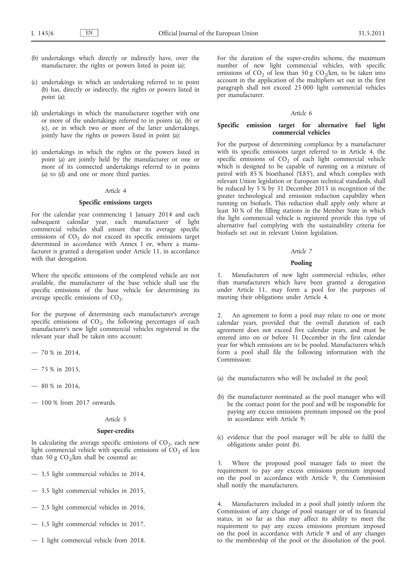- (b) undertakings which directly or indirectly have, over the manufacturer, the rights or powers listed in point (a);
- (c) undertakings in which an undertaking referred to in point (b) has, directly or indirectly, the rights or powers listed in point (a);
- (d) undertakings in which the manufacturer together with one or more of the undertakings referred to in points (a), (b) or (c), or in which two or more of the latter undertakings, jointly have the rights or powers listed in point (a);
- (e) undertakings in which the rights or the powers listed in point (a) are jointly held by the manufacturer or one or more of its connected undertakings referred to in points (a) to (d) and one or more third parties.

## *Article 4*

## **Specific emissions targets**

For the calendar year commencing 1 January 2014 and each subsequent calendar year, each manufacturer of light commercial vehicles shall ensure that its average specific emissions of  $CO<sub>2</sub>$  do not exceed its specific emissions target determined in accordance with Annex I or, where a manufacturer is granted a derogation under Article 11, in accordance with that derogation.

Where the specific emissions of the completed vehicle are not available, the manufacturer of the base vehicle shall use the specific emissions of the base vehicle for determining its average specific emissions of  $CO<sub>2</sub>$ .

For the purpose of determining each manufacturer's average specific emissions of  $CO<sub>2</sub>$ , the following percentages of each manufacturer's new light commercial vehicles registered in the relevant year shall be taken into account:

- 70 % in 2014,
- 75 % in 2015,
- $-80\%$  in 2016,
- 100 % from 2017 onwards.

## *Article 5*

## **Super-credits**

In calculating the average specific emissions of  $CO<sub>2</sub>$ , each new light commercial vehicle with specific emissions of  $CO<sub>2</sub>$  of less than 50 g  $CO_2/km$  shall be counted as:

- 3,5 light commercial vehicles in 2014,
- 3,5 light commercial vehicles in 2015,
- 2,5 light commercial vehicles in 2016,
- 1,5 light commercial vehicles in 2017,
- 1 light commercial vehicle from 2018.

For the duration of the super-credits scheme, the maximum number of new light commercial vehicles, with specific emissions of CO<sub>2</sub> of less than 50 g CO<sub>2</sub>/km, to be taken into account in the application of the multipliers set out in the first paragraph shall not exceed 25 000 light commercial vehicles per manufacturer.

#### *Article 6*

## **Specific emission target for alternative fuel light commercial vehicles**

For the purpose of determining compliance by a manufacturer with its specific emissions target referred to in Article 4, the specific emissions of  $CO<sub>2</sub>$  of each light commercial vehicle which is designed to be capable of running on a mixture of petrol with 85 % bioethanol ('E85'), and which complies with relevant Union legislation or European technical standards, shall be reduced by 5 % by 31 December 2015 in recognition of the greater technological and emission reduction capability when running on biofuels. This reduction shall apply only where at least 30 % of the filling stations in the Member State in which the light commercial vehicle is registered provide this type of alternative fuel complying with the sustainability criteria for biofuels set out in relevant Union legislation.

#### *Article 7*

#### **Pooling**

1. Manufacturers of new light commercial vehicles, other than manufacturers which have been granted a derogation under Article 11, may form a pool for the purposes of meeting their obligations under Article 4.

2. An agreement to form a pool may relate to one or more calendar years, provided that the overall duration of each agreement does not exceed five calendar years, and must be entered into on or before 31 December in the first calendar year for which emissions are to be pooled. Manufacturers which form a pool shall file the following information with the Commission:

- (a) the manufacturers who will be included in the pool;
- (b) the manufacturer nominated as the pool manager who will be the contact point for the pool and will be responsible for paying any excess emissions premium imposed on the pool in accordance with Article 9;
- (c) evidence that the pool manager will be able to fulfil the obligations under point (b).

Where the proposed pool manager fails to meet the requirement to pay any excess emissions premium imposed on the pool in accordance with Article 9, the Commission shall notify the manufacturers.

Manufacturers included in a pool shall jointly inform the Commission of any change of pool manager or of its financial status, in so far as this may affect its ability to meet the requirement to pay any excess emissions premium imposed on the pool in accordance with Article 9 and of any changes to the membership of the pool or the dissolution of the pool.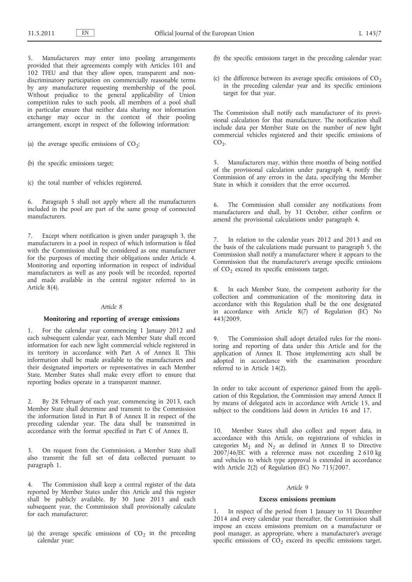Manufacturers may enter into pooling arrangements provided that their agreements comply with Articles 101 and 102 TFEU and that they allow open, transparent and nondiscriminatory participation on commercially reasonable terms by any manufacturer requesting membership of the pool. Without prejudice to the general applicability of Union competition rules to such pools, all members of a pool shall in particular ensure that neither data sharing nor information exchange may occur in the context of their pooling arrangement, except in respect of the following information:

- (a) the average specific emissions of  $CO_2$ ;
- (b) the specific emissions target;
- (c) the total number of vehicles registered.

6. Paragraph 5 shall not apply where all the manufacturers included in the pool are part of the same group of connected manufacturers.

7. Except where notification is given under paragraph 3, the manufacturers in a pool in respect of which information is filed with the Commission shall be considered as one manufacturer for the purposes of meeting their obligations under Article 4. Monitoring and reporting information in respect of individual manufacturers as well as any pools will be recorded, reported and made available in the central register referred to in Article 8(4).

## *Article 8*

## **Monitoring and reporting of average emissions**

1. For the calendar year commencing 1 January 2012 and each subsequent calendar year, each Member State shall record information for each new light commercial vehicle registered in its territory in accordance with Part A of Annex II. This information shall be made available to the manufacturers and their designated importers or representatives in each Member State. Member States shall make every effort to ensure that reporting bodies operate in a transparent manner.

2. By 28 February of each year, commencing in 2013, each Member State shall determine and transmit to the Commission the information listed in Part B of Annex II in respect of the preceding calendar year. The data shall be transmitted in accordance with the format specified in Part C of Annex II.

3. On request from the Commission, a Member State shall also transmit the full set of data collected pursuant to paragraph 1.

4. The Commission shall keep a central register of the data reported by Member States under this Article and this register shall be publicly available. By 30 June 2013 and each subsequent year, the Commission shall provisionally calculate for each manufacturer:

(a) the average specific emissions of  $CO<sub>2</sub>$  in the preceding calendar year;

- (b) the specific emissions target in the preceding calendar year;
- (c) the difference between its average specific emissions of  $CO<sub>2</sub>$ in the preceding calendar year and its specific emissions target for that year.

The Commission shall notify each manufacturer of its provisional calculation for that manufacturer. The notification shall include data per Member State on the number of new light commercial vehicles registered and their specific emissions of  $CO<sub>2</sub>$ .

5. Manufacturers may, within three months of being notified of the provisional calculation under paragraph 4, notify the Commission of any errors in the data, specifying the Member State in which it considers that the error occurred.

6. The Commission shall consider any notifications from manufacturers and shall, by 31 October, either confirm or amend the provisional calculations under paragraph 4.

In relation to the calendar years 2012 and 2013 and on the basis of the calculations made pursuant to paragraph 5, the Commission shall notify a manufacturer where it appears to the Commission that the manufacturer's average specific emissions of  $CO<sub>2</sub>$  exceed its specific emissions target.

In each Member State, the competent authority for the collection and communication of the monitoring data in accordance with this Regulation shall be the one designated in accordance with Article  $8(7)$  of Regulation (EC) No 443/2009.

9. The Commission shall adopt detailed rules for the monitoring and reporting of data under this Article and for the application of Annex II. Those implementing acts shall be adopted in accordance with the examination procedure referred to in Article 14(2).

In order to take account of experience gained from the application of this Regulation, the Commission may amend Annex II by means of delegated acts in accordance with Article 15, and subject to the conditions laid down in Articles 16 and 17.

10. Member States shall also collect and report data, in accordance with this Article, on registrations of vehicles in categories  $M_2$  and  $N_2$  as defined in Annex II to Directive 2007/46/EC with a reference mass not exceeding 2 610 kg and vehicles to which type approval is extended in accordance with Article 2(2) of Regulation (EC) No 715/2007.

### *Article 9*

#### **Excess emissions premium**

1. In respect of the period from 1 January to 31 December 2014 and every calendar year thereafter, the Commission shall impose an excess emissions premium on a manufacturer or pool manager, as appropriate, where a manufacturer's average specific emissions of  $CO<sub>2</sub>$  exceed its specific emissions target.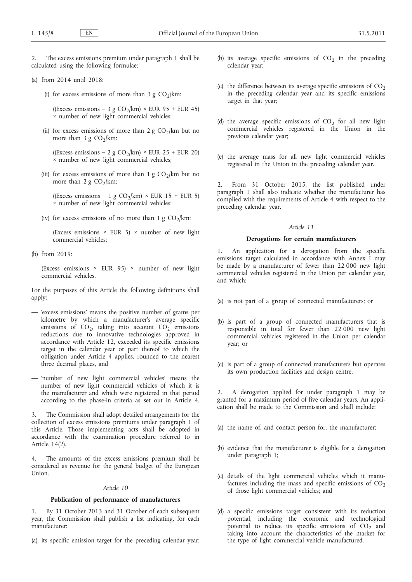The excess emissions premium under paragraph 1 shall be calculated using the following formulae:

## (a) from 2014 until 2018:

(i) for excess emissions of more than 3 g  $CO_2/km$ :

((Excess emissions – 3 g CO<sub>2</sub>/km) × EUR 95 + EUR 45) × number of new light commercial vehicles;

(ii) for excess emissions of more than 2 g  $CO_2/km$  but no more than 3 g  $CO_2/km$ :

((Excess emissions – 2 g CO<sub>2</sub>/km) × EUR 25 + EUR 20) × number of new light commercial vehicles;

(iii) for excess emissions of more than 1 g  $CO_2/km$  but no more than 2 g  $CO_2/km$ :

((Excess emissions – 1 g CO<sub>2</sub>/km) × EUR 15 + EUR 5) × number of new light commercial vehicles;

(iv) for excess emissions of no more than 1 g  $CO_2/km$ :

(Excess emissions  $\times$  EUR 5)  $\times$  number of new light commercial vehicles;

(b) from 2019:

(Excess emissions  $\times$  EUR 95)  $\times$  number of new light commercial vehicles.

For the purposes of this Article the following definitions shall apply:

- 'excess emissions' means the positive number of grams per kilometre by which a manufacturer's average specific emissions of  $CO<sub>2</sub>$ , taking into account  $CO<sub>2</sub>$  emissions reductions due to innovative technologies approved in accordance with Article 12, exceeded its specific emissions target in the calendar year or part thereof to which the obligation under Article 4 applies, rounded to the nearest three decimal places, and
- 'number of new light commercial vehicles' means the number of new light commercial vehicles of which it is the manufacturer and which were registered in that period according to the phase-in criteria as set out in Article 4.

The Commission shall adopt detailed arrangements for the collection of excess emissions premiums under paragraph 1 of this Article. Those implementing acts shall be adopted in accordance with the examination procedure referred to in Article 14(2).

4. The amounts of the excess emissions premium shall be considered as revenue for the general budget of the European Union.

## *Article 10*

## **Publication of performance of manufacturers**

By 31 October 2013 and 31 October of each subsequent year, the Commission shall publish a list indicating, for each manufacturer:

(a) its specific emission target for the preceding calendar year;

- (b) its average specific emissions of  $CO<sub>2</sub>$  in the preceding calendar year;
- (c) the difference between its average specific emissions of  $CO<sub>2</sub>$ in the preceding calendar year and its specific emissions target in that year;
- (d) the average specific emissions of  $CO<sub>2</sub>$  for all new light commercial vehicles registered in the Union in the previous calendar year;
- (e) the average mass for all new light commercial vehicles registered in the Union in the preceding calendar year.

From 31 October 2015, the list published under paragraph 1 shall also indicate whether the manufacturer has complied with the requirements of Article 4 with respect to the preceding calendar year.

#### *Article 11*

#### **Derogations for certain manufacturers**

An application for a derogation from the specific emissions target calculated in accordance with Annex I may be made by a manufacturer of fewer than 22 000 new light commercial vehicles registered in the Union per calendar year, and which:

- (a) is not part of a group of connected manufacturers; or
- (b) is part of a group of connected manufacturers that is responsible in total for fewer than 22 000 new light commercial vehicles registered in the Union per calendar year; or
- (c) is part of a group of connected manufacturers but operates its own production facilities and design centre.

2. A derogation applied for under paragraph 1 may be granted for a maximum period of five calendar years. An application shall be made to the Commission and shall include:

- (a) the name of, and contact person for, the manufacturer;
- (b) evidence that the manufacturer is eligible for a derogation under paragraph 1;
- (c) details of the light commercial vehicles which it manufactures including the mass and specific emissions of  $CO<sub>2</sub>$ of those light commercial vehicles; and
- (d) a specific emissions target consistent with its reduction potential, including the economic and technological potential to reduce its specific emissions of  $CO<sub>2</sub>$  and taking into account the characteristics of the market for the type of light commercial vehicle manufactured.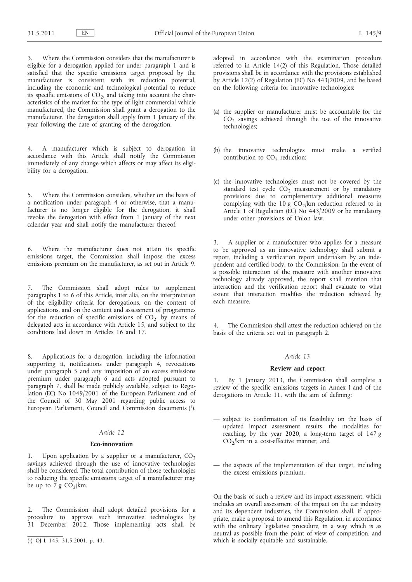Where the Commission considers that the manufacturer is eligible for a derogation applied for under paragraph 1 and is satisfied that the specific emissions target proposed by the manufacturer is consistent with its reduction potential, including the economic and technological potential to reduce its specific emissions of  $CO<sub>2</sub>$ , and taking into account the characteristics of the market for the type of light commercial vehicle manufactured, the Commission shall grant a derogation to the manufacturer. The derogation shall apply from 1 January of the year following the date of granting of the derogation.

4. A manufacturer which is subject to derogation in accordance with this Article shall notify the Commission immediately of any change which affects or may affect its eligibility for a derogation.

5. Where the Commission considers, whether on the basis of a notification under paragraph 4 or otherwise, that a manufacturer is no longer eligible for the derogation, it shall revoke the derogation with effect from 1 January of the next calendar year and shall notify the manufacturer thereof.

6. Where the manufacturer does not attain its specific emissions target, the Commission shall impose the excess emissions premium on the manufacturer, as set out in Article 9.

7. The Commission shall adopt rules to supplement paragraphs 1 to 6 of this Article, inter alia, on the interpretation of the eligibility criteria for derogations, on the content of applications, and on the content and assessment of programmes for the reduction of specific emissions of  $CO<sub>2</sub>$ , by means of delegated acts in accordance with Article 15, and subject to the conditions laid down in Articles 16 and 17.

8. Applications for a derogation, including the information supporting it, notifications under paragraph 4, revocations under paragraph 5 and any imposition of an excess emissions premium under paragraph 6 and acts adopted pursuant to paragraph 7, shall be made publicly available, subject to Regulation (EC) No 1049/2001 of the European Parliament and of the Council of 30 May 2001 regarding public access to European Parliament, Council and Commission documents (1).

## *Article 12*

#### **Eco-innovation**

1. Upon application by a supplier or a manufacturer,  $CO<sub>2</sub>$ savings achieved through the use of innovative technologies shall be considered. The total contribution of those technologies to reducing the specific emissions target of a manufacturer may be up to  $\frac{7}{9}$  CO<sub>2</sub>/km.

The Commission shall adopt detailed provisions for a procedure to approve such innovative technologies by 31 December 2012. Those implementing acts shall be adopted in accordance with the examination procedure referred to in Article 14(2) of this Regulation. Those detailed provisions shall be in accordance with the provisions established by Article 12(2) of Regulation (EC) No  $443/2009$ , and be based on the following criteria for innovative technologies:

- (a) the supplier or manufacturer must be accountable for the  $CO<sub>2</sub>$  savings achieved through the use of the innovative technologies;
- (b) the innovative technologies must make a verified contribution to  $CO<sub>2</sub>$  reduction;
- (c) the innovative technologies must not be covered by the standard test cycle  $CO_2$  measurement or by mandatory provisions due to complementary additional measures complying with the 10 g  $CO_2/km$  reduction referred to in Article 1 of Regulation (EC) No 443/2009 or be mandatory under other provisions of Union law.

3. A supplier or a manufacturer who applies for a measure to be approved as an innovative technology shall submit a report, including a verification report undertaken by an independent and certified body, to the Commission. In the event of a possible interaction of the measure with another innovative technology already approved, the report shall mention that interaction and the verification report shall evaluate to what extent that interaction modifies the reduction achieved by each measure.

The Commission shall attest the reduction achieved on the basis of the criteria set out in paragraph 2.

#### *Article 13*

#### **Review and report**

1. By 1 January 2013, the Commission shall complete a review of the specific emissions targets in Annex I and of the derogations in Article 11, with the aim of defining:

- subject to confirmation of its feasibility on the basis of updated impact assessment results, the modalities for reaching, by the year 2020, a long-term target of 147 g  $CO<sub>2</sub>/km$  in a cost-effective manner, and
- the aspects of the implementation of that target, including the excess emissions premium.

On the basis of such a review and its impact assessment, which includes an overall assessment of the impact on the car industry and its dependent industries, the Commission shall, if appropriate, make a proposal to amend this Regulation, in accordance with the ordinary legislative procedure, in a way which is as neutral as possible from the point of view of competition, and which is socially equitable and sustainable.

<sup>(</sup> 1) OJ L 145, 31.5.2001, p. 43.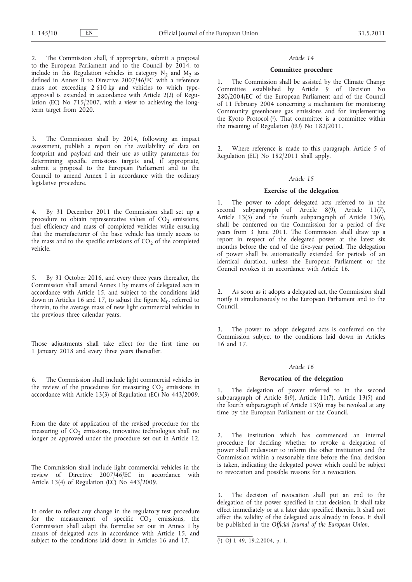The Commission shall, if appropriate, submit a proposal to the European Parliament and to the Council by  $2014$ , to include in this Regulation vehicles in category  $N_2$  and  $M_2$  as defined in Annex II to Directive 2007/46/EC with a reference mass not exceeding 2 610 kg and vehicles to which typeapproval is extended in accordance with Article 2(2) of Regulation (EC) No 715/2007, with a view to achieving the longterm target from 2020.

3. The Commission shall by 2014, following an impact assessment, publish a report on the availability of data on footprint and payload and their use as utility parameters for determining specific emissions targets and, if appropriate, submit a proposal to the European Parliament and to the Council to amend Annex I in accordance with the ordinary legislative procedure.

4. By 31 December 2011 the Commission shall set up a procedure to obtain representative values of  $CO<sub>2</sub>$  emissions, fuel efficiency and mass of completed vehicles while ensuring that the manufacturer of the base vehicle has timely access to the mass and to the specific emissions of  $CO<sub>2</sub>$  of the completed vehicle.

5. By 31 October 2016, and every three years thereafter, the Commission shall amend Annex I by means of delegated acts in accordance with Article 15, and subject to the conditions laid down in Articles 16 and 17, to adjust the figure  $M_0$ , referred to therein, to the average mass of new light commercial vehicles in the previous three calendar years.

Those adjustments shall take effect for the first time on 1 January 2018 and every three years thereafter.

6. The Commission shall include light commercial vehicles in the review of the procedures for measuring  $CO<sub>2</sub>$  emissions in accordance with Article 13(3) of Regulation (EC) No 443/2009.

From the date of application of the revised procedure for the measuring of  $CO<sub>2</sub>$  emissions, innovative technologies shall no longer be approved under the procedure set out in Article 12.

The Commission shall include light commercial vehicles in the review of Directive 2007/46/EC in accordance with Article 13(4) of Regulation (EC) No 443/2009.

In order to reflect any change in the regulatory test procedure for the measurement of specific  $CO<sub>2</sub>$  emissions, the Commission shall adapt the formulae set out in Annex I by means of delegated acts in accordance with Article 15, and subject to the conditions laid down in Articles 16 and 17.

#### *Article 14*

#### **Committee procedure**

1. The Commission shall be assisted by the Climate Change Committee established by Article 9 of Decision No 280/2004/EC of the European Parliament and of the Council of 11 February 2004 concerning a mechanism for monitoring Community greenhouse gas emissions and for implementing the Kyoto Protocol (1). That committee is a committee within the meaning of Regulation (EU) No 182/2011.

2. Where reference is made to this paragraph, Article 5 of Regulation (EU) No 182/2011 shall apply.

#### *Article 15*

#### **Exercise of the delegation**

1. The power to adopt delegated acts referred to in the second subparagraph of Article 8(9), Article 11(7), Article 13(5) and the fourth subparagraph of Article 13(6), shall be conferred on the Commission for a period of five years from 3 June 2011. The Commission shall draw up a report in respect of the delegated power at the latest six months before the end of the five-year period. The delegation of power shall be automatically extended for periods of an identical duration, unless the European Parliament or the Council revokes it in accordance with Article 16.

2. As soon as it adopts a delegated act, the Commission shall notify it simultaneously to the European Parliament and to the Council.

The power to adopt delegated acts is conferred on the Commission subject to the conditions laid down in Articles 16 and 17.

## *Article 16*

#### **Revocation of the delegation**

The delegation of power referred to in the second subparagraph of Article 8(9), Article 11(7), Article 13(5) and the fourth subparagraph of Article 13(6) may be revoked at any time by the European Parliament or the Council.

2. The institution which has commenced an internal procedure for deciding whether to revoke a delegation of power shall endeavour to inform the other institution and the Commission within a reasonable time before the final decision is taken, indicating the delegated power which could be subject to revocation and possible reasons for a revocation.

The decision of revocation shall put an end to the delegation of the power specified in that decision. It shall take effect immediately or at a later date specified therein. It shall not affect the validity of the delegated acts already in force. It shall be published in the *Official Journal of the European Union*.

<sup>(</sup> 1) OJ L 49, 19.2.2004, p. 1.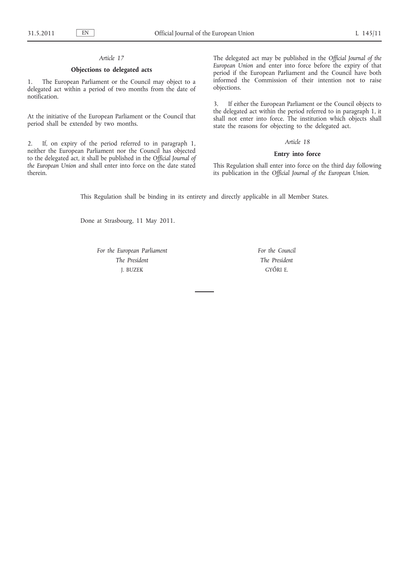## *Article 17*

## **Objections to delegated acts**

1. The European Parliament or the Council may object to a delegated act within a period of two months from the date of notification.

At the initiative of the European Parliament or the Council that period shall be extended by two months.

2. If, on expiry of the period referred to in paragraph 1, neither the European Parliament nor the Council has objected to the delegated act, it shall be published in the *Official Journal of the European Union* and shall enter into force on the date stated therein.

The delegated act may be published in the *Official Journal of the European Union* and enter into force before the expiry of that period if the European Parliament and the Council have both informed the Commission of their intention not to raise objections.

3. If either the European Parliament or the Council objects to the delegated act within the period referred to in paragraph 1, it shall not enter into force. The institution which objects shall state the reasons for objecting to the delegated act.

## *Article 18*

### **Entry into force**

This Regulation shall enter into force on the third day following its publication in the *Official Journal of the European Union*.

This Regulation shall be binding in its entirety and directly applicable in all Member States.

Done at Strasbourg, 11 May 2011.

*For the European Parliament The President* J. BUZEK

*For the Council The President* GYŐRI E.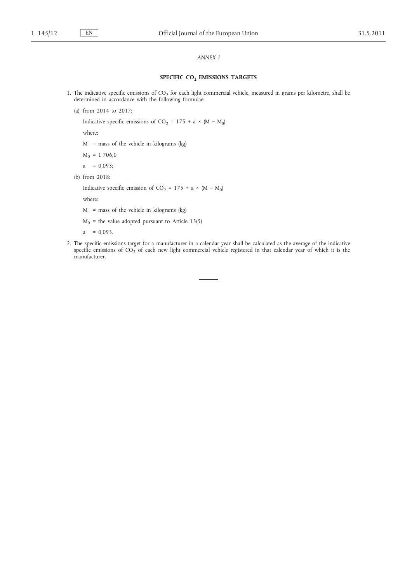## *ANNEX I*

## **SPECIFIC CO2 EMISSIONS TARGETS**

- 1. The indicative specific emissions of  $CO<sub>2</sub>$  for each light commercial vehicle, measured in grams per kilometre, shall be determined in accordance with the following formulae:
	- (a) from 2014 to 2017:

Indicative specific emissions of CO<sub>2</sub> = 175 + a × (M – M<sub>0</sub>)

where:

 $M =$  mass of the vehicle in kilograms (kg)

- $M_0 = 1706,0$
- a =  $0,093$ ;
- (b) from 2018:

Indicative specific emission of CO<sub>2</sub> = 175 + a  $\times$  (M – M<sub>0</sub>)

where:

 $M$  = mass of the vehicle in kilograms (kg)

 $M_0$  = the value adopted pursuant to Article 13(5)

 $a = 0,093$ .

2. The specific emissions target for a manufacturer in a calendar year shall be calculated as the average of the indicative specific emissions of  $CO_2$  of each new light commercial vehicle registered in that calendar year of which it is the manufacturer.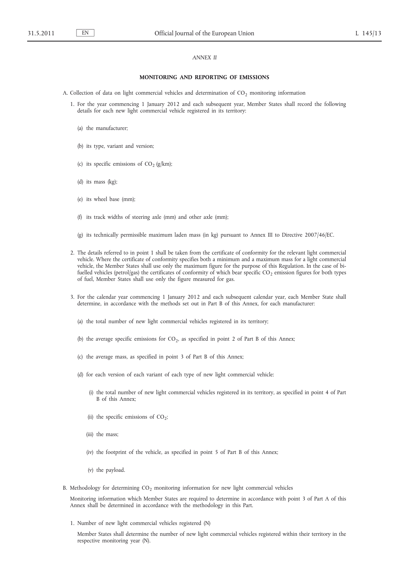## *ANNEX II*

#### **MONITORING AND REPORTING OF EMISSIONS**

A. Collection of data on light commercial vehicles and determination of  $CO<sub>2</sub>$  monitoring information

- 1. For the year commencing 1 January 2012 and each subsequent year, Member States shall record the following details for each new light commercial vehicle registered in its territory:
	- (a) the manufacturer;
	- (b) its type, variant and version;
	- (c) its specific emissions of  $CO<sub>2</sub> (g/km)$ ;
	- (d) its mass (kg);
	- (e) its wheel base (mm);
	- (f) its track widths of steering axle (mm) and other axle (mm);
	- (g) its technically permissible maximum laden mass (in kg) pursuant to Annex III to Directive 2007/46/EC.
- 2. The details referred to in point 1 shall be taken from the certificate of conformity for the relevant light commercial vehicle. Where the certificate of conformity specifies both a minimum and a maximum mass for a light commercial vehicle, the Member States shall use only the maximum figure for the purpose of this Regulation. In the case of bifuelled vehicles (petrol/gas) the certificates of conformity of which bear specific  $CO<sub>2</sub>$  emission figures for both types of fuel, Member States shall use only the figure measured for gas.
- 3. For the calendar year commencing 1 January 2012 and each subsequent calendar year, each Member State shall determine, in accordance with the methods set out in Part B of this Annex, for each manufacturer:
	- (a) the total number of new light commercial vehicles registered in its territory;
	- (b) the average specific emissions for  $CO<sub>2</sub>$ , as specified in point 2 of Part B of this Annex;
	- (c) the average mass, as specified in point 3 of Part B of this Annex;
	- (d) for each version of each variant of each type of new light commercial vehicle:
		- (i) the total number of new light commercial vehicles registered in its territory, as specified in point 4 of Part B of this Annex;
		- (ii) the specific emissions of  $CO_2$ ;
		- (iii) the mass;
		- (iv) the footprint of the vehicle, as specified in point 5 of Part B of this Annex;
		- (v) the payload.
- B. Methodology for determining  $CO<sub>2</sub>$  monitoring information for new light commercial vehicles

Monitoring information which Member States are required to determine in accordance with point 3 of Part A of this Annex shall be determined in accordance with the methodology in this Part.

1. Number of new light commercial vehicles registered (N)

Member States shall determine the number of new light commercial vehicles registered within their territory in the respective monitoring year (N).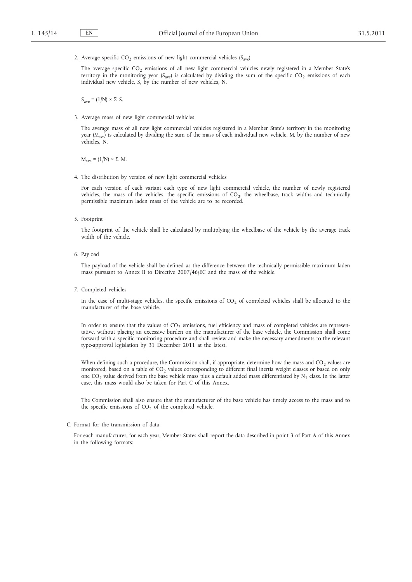2. Average specific CO<sub>2</sub> emissions of new light commercial vehicles ( $S_{ave}$ )

The average specific  $CO_2$  emissions of all new light commercial vehicles newly registered in a Member State's territory in the monitoring year (S<sub>ave</sub>) is calculated by dividing the sum of the specific CO<sub>2</sub> emissions of each individual new vehicle, S, by the number of new vehicles, N.

 $S_{\text{ave}} = (1/N) \times \Sigma S$ .

3. Average mass of new light commercial vehicles

The average mass of all new light commercial vehicles registered in a Member State's territory in the monitoring year ( $M_{\text{ave}}$ ) is calculated by dividing the sum of the mass of each individual new vehicle, M, by the number of new vehicles, N.

 $M<sub>ave</sub> = (1/N) \times \Sigma M$ .

4. The distribution by version of new light commercial vehicles

For each version of each variant each type of new light commercial vehicle, the number of newly registered vehicles, the mass of the vehicles, the specific emissions of  $CO<sub>2</sub>$ , the wheelbase, track widths and technically permissible maximum laden mass of the vehicle are to be recorded.

5. Footprint

The footprint of the vehicle shall be calculated by multiplying the wheelbase of the vehicle by the average track width of the vehicle.

6. Payload

The payload of the vehicle shall be defined as the difference between the technically permissible maximum laden mass pursuant to Annex II to Directive 2007/46/EC and the mass of the vehicle.

7. Completed vehicles

In the case of multi-stage vehicles, the specific emissions of  $CO<sub>2</sub>$  of completed vehicles shall be allocated to the manufacturer of the base vehicle.

In order to ensure that the values of  $CO<sub>2</sub>$  emissions, fuel efficiency and mass of completed vehicles are representative, without placing an excessive burden on the manufacturer of the base vehicle, the Commission shall come forward with a specific monitoring procedure and shall review and make the necessary amendments to the relevant type-approval legislation by 31 December 2011 at the latest.

When defining such a procedure, the Commission shall, if appropriate, determine how the mass and  $CO<sub>2</sub>$  values are monitored, based on a table of CO<sub>2</sub> values corresponding to different final inertia weight classes or based on only one CO<sub>2</sub> value derived from the base vehicle mass plus a default added mass differentiated by  $N_1$  class. In the latter case, this mass would also be taken for Part C of this Annex.

The Commission shall also ensure that the manufacturer of the base vehicle has timely access to the mass and to the specific emissions of  $CO<sub>2</sub>$  of the completed vehicle.

C. Format for the transmission of data

For each manufacturer, for each year, Member States shall report the data described in point 3 of Part A of this Annex in the following formats: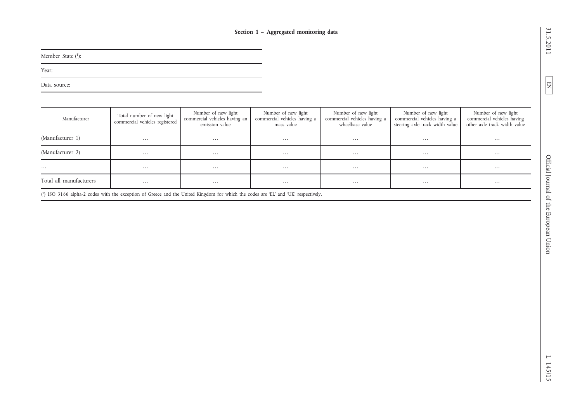| Member State $(1)$ : |  |
|----------------------|--|
| Year:                |  |
| Data source:         |  |

| Section 1 - Aggregated monitoring data |                                                             |  |                                                                                                                                    |                                                                   |                                                                        |                                                                                        |                                                                                   |  |  |  |  |  |  |
|----------------------------------------|-------------------------------------------------------------|--|------------------------------------------------------------------------------------------------------------------------------------|-------------------------------------------------------------------|------------------------------------------------------------------------|----------------------------------------------------------------------------------------|-----------------------------------------------------------------------------------|--|--|--|--|--|--|
| Member State (1):                      |                                                             |  |                                                                                                                                    |                                                                   |                                                                        |                                                                                        |                                                                                   |  |  |  |  |  |  |
| Year:                                  |                                                             |  |                                                                                                                                    |                                                                   |                                                                        |                                                                                        |                                                                                   |  |  |  |  |  |  |
| Data source:                           |                                                             |  |                                                                                                                                    |                                                                   |                                                                        |                                                                                        |                                                                                   |  |  |  |  |  |  |
|                                        |                                                             |  |                                                                                                                                    |                                                                   |                                                                        |                                                                                        |                                                                                   |  |  |  |  |  |  |
| Manufacturer                           | Total number of new light<br>commercial vehicles registered |  | Number of new light<br>commercial vehicles having an<br>emission value                                                             | Number of new light<br>commercial vehicles having a<br>mass value | Number of new light<br>commercial vehicles having a<br>wheelbase value | Number of new light<br>commercial vehicles having a<br>steering axle track width value | Number of new light<br>commercial vehicles having<br>other axle track width value |  |  |  |  |  |  |
| (Manufacturer 1)                       | $\ldots$                                                    |  | $\ldots$                                                                                                                           | $\ldots$                                                          | $\ldots$                                                               | $\dots$                                                                                | $\dots$                                                                           |  |  |  |  |  |  |
| (Manufacturer 2)                       | $\ldots$                                                    |  | $\ldots$                                                                                                                           | $\ldots$                                                          | $\dots$                                                                | $\dots$                                                                                | $\ldots$                                                                          |  |  |  |  |  |  |
| $\cdots$                               | $\ldots$                                                    |  | $\dots$                                                                                                                            | $\ldots$                                                          | $\ldots$                                                               | $\dots$                                                                                | $\ldots$                                                                          |  |  |  |  |  |  |
| Total all manufacturers                | $\ldots$                                                    |  |                                                                                                                                    | $\ldots$                                                          | $\ldots$                                                               | $\dots$                                                                                | $\ldots$                                                                          |  |  |  |  |  |  |
|                                        |                                                             |  | (1) ISO 3166 alpha-2 codes with the exception of Greece and the United Kingdom for which the codes are 'EL' and 'UK' respectively. |                                                                   |                                                                        |                                                                                        |                                                                                   |  |  |  |  |  |  |
|                                        |                                                             |  |                                                                                                                                    |                                                                   |                                                                        |                                                                                        |                                                                                   |  |  |  |  |  |  |
|                                        |                                                             |  |                                                                                                                                    |                                                                   |                                                                        |                                                                                        |                                                                                   |  |  |  |  |  |  |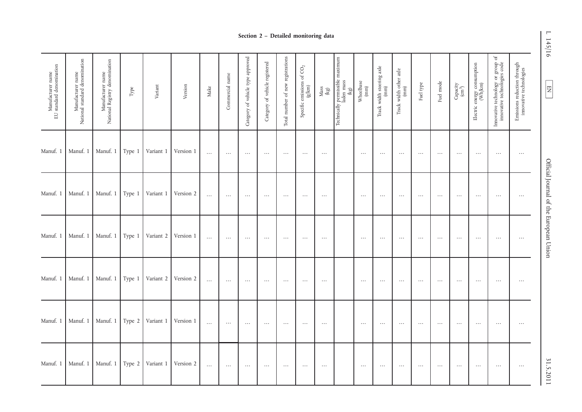|                                               | Section 2 - Detailed monitoring data                |                                                     |          |           |           |          |                 |                                   |                                |                                   |                                              |                                 |                                                         |                                                                |                                   | F<br>145/16                    |           |           |                                                                     |                                                           |                                                                   |                                                        |                                        |
|-----------------------------------------------|-----------------------------------------------------|-----------------------------------------------------|----------|-----------|-----------|----------|-----------------|-----------------------------------|--------------------------------|-----------------------------------|----------------------------------------------|---------------------------------|---------------------------------------------------------|----------------------------------------------------------------|-----------------------------------|--------------------------------|-----------|-----------|---------------------------------------------------------------------|-----------------------------------------------------------|-------------------------------------------------------------------|--------------------------------------------------------|----------------------------------------|
| Manufacturer name<br>EU standard denomination | Manufacturer name<br>National standard denomination | Manufacturer name<br>National Registry denomination | Type     | Variant   | Version   | Make     | Commercial name | Category of vehicle type approved | Category of vehicle registered | Total number of new registrations | Specific emissions of $\mathrm{CO}_2$ (g/km) | $\frac{\text{Mass}}{\text{kg}}$ | Technically permissible maximum<br>laden mass<br>$(kg)$ | $\begin{array}{c} \text{Wheelbase} \\ \text{(mm)} \end{array}$ | Track width steering axle<br>(mm) | Track width other axle<br>(mm) | Fuel type | Fuel mode | $\begin{array}{c} \mathrm{Capacity} \\ (\mathrm{cm}^3) \end{array}$ | Electric energy consumption $\frac{\text{Wn}}{\text{Wn}}$ | Innovative technology or group of<br>innovative technologies code | Emissions reduction through<br>innovative technologies | $\boxed{\phantom{000}}$                |
| Manuf. 1                                      | Manuf. 1                                            | Manuf. 1                                            | Type 1   | Variant 1 | Version 1 | $\ldots$ | $\ddots$        | $\cdots$                          | $\cdots$                       | $\cdots$                          | $\ldots$                                     | $\ldots$                        |                                                         | $\cdots$                                                       | $\ddots$                          | $\cdots$                       | $\cdots$  | $\cdots$  | $\cdots$                                                            | $\ldots$                                                  | $\cdots$                                                          | $\cdots$                                               |                                        |
| Manuf. 1                                      | Manuf. 1                                            | Manuf. 1                                            | Type 1   | Variant 1 | Version 2 | $\ldots$ | $\ldots$        | $\cdots$                          | $\cdots$                       | $\cdots$                          | $\cdots$                                     | $\cdots$                        |                                                         | $\ldots$                                                       | $\cdots$                          | $\cdots$                       | $\cdots$  | $\cdots$  | $\cdots$                                                            | $\cdots$                                                  | $\cdots$                                                          | $\cdots$                                               | Official Journal of the European Union |
| Manuf. 1                                      | Manuf. 1                                            | Manuf. 1                                            | Type 1   | Variant 2 | Version 1 | $\ldots$ | $\cdots$        | $\ldots$                          | $\ldots$                       | $\ldots$                          | $\ldots$                                     | $\cdots$                        |                                                         | $\ldots$                                                       | $\ldots$                          | $\cdots$                       | $\ldots$  | $\cdots$  | $\ldots$                                                            | $\cdots$                                                  | $\ldots$                                                          | $\ldots$                                               |                                        |
| Manuf. 1                                      | Manuf. 1                                            | Manuf. 1                                            | Type 1   | Variant 2 | Version 2 | $\ldots$ | $\ldots$        | $\cdots$                          | $\cdots$                       | $\cdots$                          | $\cdots$                                     | $\cdots$                        |                                                         | $\cdots$                                                       | $\cdots$                          | $\cdots$                       | $\cdots$  | $\cdots$  | $\cdots$                                                            | $\cdots$                                                  | $\ldots$                                                          | $\cdots$                                               |                                        |
| Manuf. 1                                      | Manuf. 1                                            | Manuf. 1                                            | Type 2   | Variant 1 | Version 1 | $\ldots$ | $\ldots$        | $\cdots$                          | $\ldots$                       | $\cdots$                          | $\cdots$                                     | $\cdots$                        |                                                         | $\ldots$                                                       | $\ldots$                          | $\cdots$                       | $\cdots$  | $\cdots$  | $\cdots$                                                            | $\cdots$                                                  | $\ldots$                                                          | $\ldots$                                               |                                        |
| Manuf. 1                                      | Manuf. 1                                            | Manuf. 1                                            | Type $2$ | Variant 1 | Version 2 | $\ldots$ | $\ldots$        | $\cdots$                          | $\ldots$                       | $\ldots$                          | $\ldots$                                     | $\cdots$                        |                                                         | $\cdots$                                                       | $\cdots$                          | $\cdots$                       | $\ldots$  | $\cdots$  | $\cdots$                                                            | $\cdots$                                                  | $\ldots$                                                          | $\cdots$                                               | 31.5.2011                              |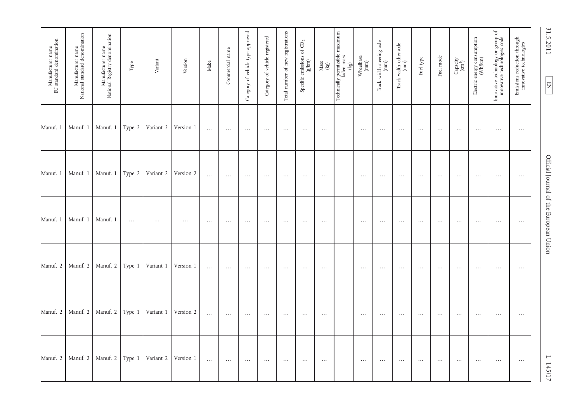| Manufacturer name<br>EU standard denomination | Manufacturer name<br>National standard denomination | Manufacturer name<br>National Registry denomination | Type    | Variant          | Version   | Make     | Commercial name | Category of vehicle type approved | Category of vehicle registered | Total number of new registrations | Specific emissions of $\mathrm{CO}_2$ (g/km) | $\frac{\text{Mas}}{\text{kg}}$ | maximum<br>r permissible 1<br>laden mass<br>(kg)<br>Technically | $\begin{array}{c} \text{Wheelbase} \\ \text{(mm)} \end{array}$ | Track width steering axle<br>(mm) | Track width other axle $(mm)$ | Fuel type | Fuel mode | $\begin{array}{c} \mathrm{Capacity} \\ (\mathrm{cm}^3) \end{array}$ | Electric energy consumption $(\text{Wh}/\text{km})$ | Innovative technology or group of<br>innovative technologies code | Emissions reduction through<br>innovative technologies | 31.5.2011<br>$\boxed{E}$               |
|-----------------------------------------------|-----------------------------------------------------|-----------------------------------------------------|---------|------------------|-----------|----------|-----------------|-----------------------------------|--------------------------------|-----------------------------------|----------------------------------------------|--------------------------------|-----------------------------------------------------------------|----------------------------------------------------------------|-----------------------------------|-------------------------------|-----------|-----------|---------------------------------------------------------------------|-----------------------------------------------------|-------------------------------------------------------------------|--------------------------------------------------------|----------------------------------------|
| Manuf. 1                                      | Manuf. 1                                            | Manuf. 1                                            |         | Type 2 Variant 2 | Version 1 | $\ldots$ | $\ldots$        | $\cdots$                          | $\ldots$                       | $\cdots$                          | $\ldots$                                     | $\ldots$                       |                                                                 | $\ldots$                                                       | $\cdots$                          | $\ldots$                      | $\ldots$  | $\ldots$  | $\ldots$                                                            | $\cdots$                                            | $\ldots$                                                          | $\ldots$                                               |                                        |
| Manuf. 1                                      | Manuf. 1                                            | Manuf. 1                                            | Type 2  | Variant 2        | Version 2 | $\ldots$ | $\ldots$        | $\cdots$                          | $\cdots$                       | $\cdots$                          | $\cdots$                                     | $\ldots$                       |                                                                 | $\cdots$                                                       | $\cdots$                          | $\cdots$                      | $\cdots$  | $\cdots$  | $\cdots$                                                            | $\cdots$                                            | $\cdots$                                                          | $\ldots$                                               |                                        |
| Manuf. 1                                      | Manuf. 1                                            | Manuf. 1                                            | $\dots$ | $\cdots$         | $\ldots$  | $\ldots$ | $\ldots$        | $\ldots$                          | $\ldots$                       | $\ldots$                          | $\ldots$                                     | $\ldots$                       |                                                                 | $\ldots$                                                       | $\cdots$                          | $\ldots$                      | $\cdots$  | $\ldots$  | $\cdots$                                                            | $\ldots$                                            | $\cdots$                                                          | $\cdots$                                               | Official Journal of the European Union |
| Manuf. 2                                      | Manuf. 2                                            | Manuf. 2                                            | Type 1  | Variant 1        | Version 1 | $\ldots$ | $\ldots$        | $\cdots$                          | $\ldots$                       | $\ldots$                          | $\ldots$                                     | $\ldots$                       |                                                                 | $\ldots$                                                       | $\cdots$                          | $\cdots$                      | $\ldots$  | $\ldots$  | $\ldots$                                                            | $\cdots$                                            | $\ldots$                                                          | $\ldots$                                               |                                        |
| Manuf. 2                                      | Manuf. 2                                            | Manuf. 2 Type 1                                     |         | Variant 1        | Version 2 | $\ldots$ | $\cdots$        | $\ldots$                          | $\cdots$                       | $\ldots$                          | $\cdots$                                     | $\cdots$                       |                                                                 | $\ldots$                                                       | $\cdots$                          | $\ldots$                      | $\ldots$  | $\cdots$  | $\cdots$                                                            | $\cdots$                                            | $\cdots$                                                          | $\cdots$                                               |                                        |
| Manuf. 2                                      | Manuf. 2                                            | Manuf. 2                                            | Type 1  | Variant 2        | Version 1 | $\ldots$ | $\ldots$        | $\ldots$                          | $\cdots$                       | $\cdots$                          | $\cdots$                                     | $\ldots$                       |                                                                 | $\cdots$                                                       | $\cdots$                          | $\cdots$                      | $\cdots$  | $\cdots$  | $\cdots$                                                            | $\cdots$                                            | $\cdots$                                                          | $\ldots$                                               | 1142/12                                |